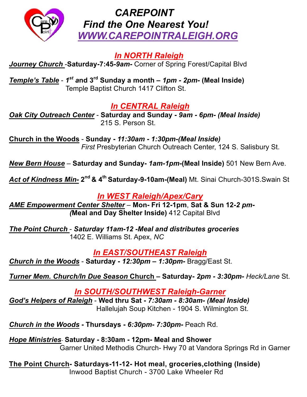

### *CAREPOINT Find the One Nearest You! WWW.CAREPOINTRALEIGH.ORG*

*In NORTH Raleigh*

*Journey Church* -**Saturday-7:45***-9am-* Corner of Spring Forest/Capital Blvd

*Temple's Table* - *1st a***nd 3rd Sunday a month –** *1pm - 2pm-* **(Meal Inside)** Temple Baptist Church 1417 Clifton St.

### *In CENTRAL Raleigh*

*Oak City Outreach Center* - **Saturday and Sunday -** *9am - 6pm- (Meal Inside)* 215 S. Person St.

**Church in the Woods** - **Sunday -** *11:30am - 1:30pm-(Meal Inside) First* Presbyterian Church Outreach Center, 124 S. Salisbury St.

*New Bern House* – **Saturday and Sunday-** *1am-1pm-***(Meal Inside)** 501 New Bern Ave.

*Act of Kindness Min-* **2nd & 4th Saturday-9-10am-(Meal)** Mt. Sinai Church-301S.Swain St

#### *In WEST Raleigh/Apex/Cary*

*AME Empowerment Center Shelter* – **Mon- Fri 12-1pm**, **Sat & Sun 12***-2 pm- (***Meal and Day Shelter Inside)** 412 Capital Blvd

*The Point Church* - *Saturday 11am-12 -Meal and distributes groceries* 1402 E. Williams St. Apex, *NC*

#### *In EAST/SOUTHEAST Raleigh*

*Church in the Woods* - **Saturday -** *12:30pm – 1:30pm-* Bragg/East St.

*Turner Mem. Church/In Due Season* **Church – Saturday-** *2pm - 3:30pm- Heck/Lane* St.

*In SOUTH/SOUTHWEST Raleigh-Garner*

*God's Helpers of Raleigh* - **Wed thru Sat -** *7:30am - 8:30am- (Meal Inside)* Hallelujah Soup Kitchen - 1904 S. Wilmington St.

*Church in the Woods* **- Thursdays -** *6:30pm- 7:30pm-* Peach Rd.

*Hope Ministries*- **Saturday - 8:30am - 12pm- Meal and Shower** Garner United Methodis Church- Hwy 70 at Vandora Springs Rd in Garner

**The Point Church- Saturdays-11-12- Hot meal, groceries,clothing (Inside)** Inwood Baptist Church - 3700 Lake Wheeler Rd